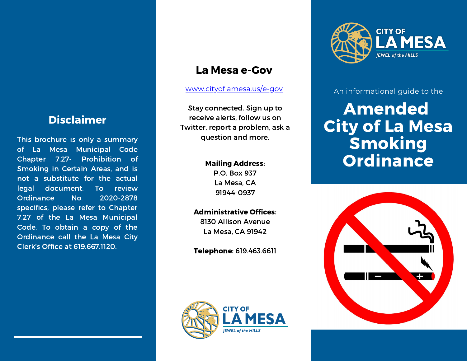# Disclaimer

This brochure is only a summary of La Mesa Municipal Code Chapter 7.27- Prohibition of Smoking in Certain Areas, and is not a substitute for the actual legal document. To review Ordinance No. 2020-2878 specifics, please refer to Chapter 7.27 of the La Mesa Municipal Code. To obtain a copy of the Ordinance call the La Mesa City Clerk's Office at 619.667.1120.

## La Mesa e-Gov

#### [www.cityoflamesa.us/e-gov](http://www.cityoflamesa.us/e-gov)

Stay connected. Sign up to receive alerts, follow us on Twitter, report a problem, ask a question and more.

#### Mailing Address:

P.O. Box 937 La Mesa, CA 91944-0937

### Administrative Offices:

8130 Allison Avenue La Mesa, CA 91942

Telephone: 619.463.6611





An informational guide to the

# Amended City of La Mesa Smoking **Ordinance**